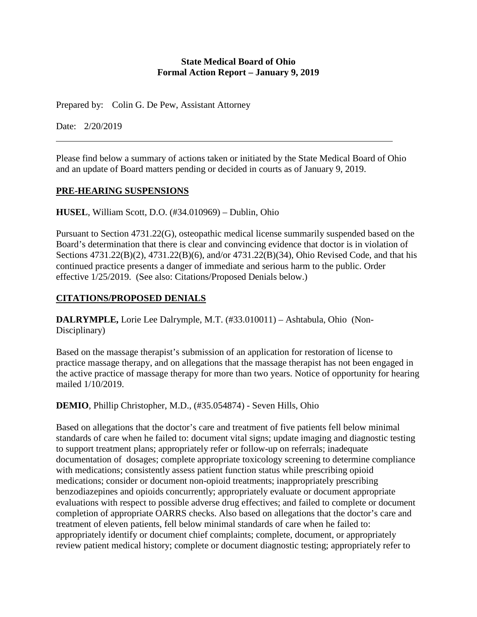#### **State Medical Board of Ohio Formal Action Report – January 9, 2019**

Prepared by: Colin G. De Pew, Assistant Attorney

Date: 2/20/2019

Please find below a summary of actions taken or initiated by the State Medical Board of Ohio and an update of Board matters pending or decided in courts as of January 9, 2019.

## **PRE-HEARING SUSPENSIONS**

**HUSEL**, William Scott, D.O. (#34.010969) – Dublin, Ohio

Pursuant to Section 4731.22(G), osteopathic medical license summarily suspended based on the Board's determination that there is clear and convincing evidence that doctor is in violation of Sections 4731.22(B)(2), 4731.22(B)(6), and/or 4731.22(B)(34), Ohio Revised Code, and that his continued practice presents a danger of immediate and serious harm to the public. Order effective 1/25/2019. (See also: Citations/Proposed Denials below.)

# **CITATIONS/PROPOSED DENIALS**

**DALRYMPLE,** Lorie Lee Dalrymple, M.T. (#33.010011) – Ashtabula, Ohio (Non-Disciplinary)

Based on the massage therapist's submission of an application for restoration of license to practice massage therapy, and on allegations that the massage therapist has not been engaged in the active practice of massage therapy for more than two years. Notice of opportunity for hearing mailed 1/10/2019.

**DEMIO**, Phillip Christopher, M.D., (#35.054874) - Seven Hills, Ohio

Based on allegations that the doctor's care and treatment of five patients fell below minimal standards of care when he failed to: document vital signs; update imaging and diagnostic testing to support treatment plans; appropriately refer or follow-up on referrals; inadequate documentation of dosages; complete appropriate toxicology screening to determine compliance with medications; consistently assess patient function status while prescribing opioid medications; consider or document non-opioid treatments; inappropriately prescribing benzodiazepines and opioids concurrently; appropriately evaluate or document appropriate evaluations with respect to possible adverse drug effectives; and failed to complete or document completion of appropriate OARRS checks. Also based on allegations that the doctor's care and treatment of eleven patients, fell below minimal standards of care when he failed to: appropriately identify or document chief complaints; complete, document, or appropriately review patient medical history; complete or document diagnostic testing; appropriately refer to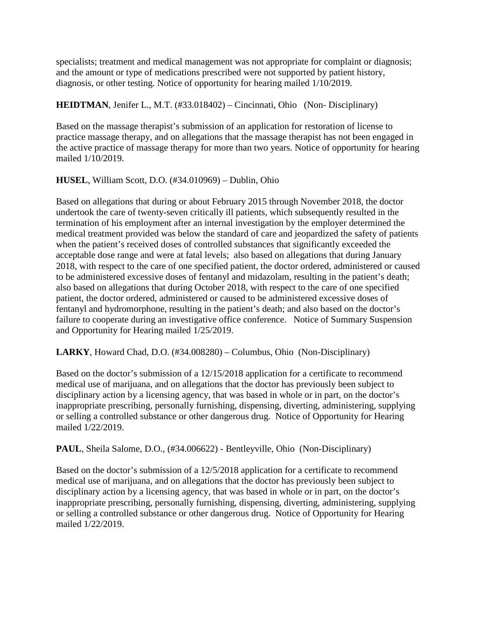specialists; treatment and medical management was not appropriate for complaint or diagnosis; and the amount or type of medications prescribed were not supported by patient history, diagnosis, or other testing. Notice of opportunity for hearing mailed 1/10/2019.

**HEIDTMAN**, Jenifer L., M.T. (#33.018402) – Cincinnati, Ohio (Non- Disciplinary)

Based on the massage therapist's submission of an application for restoration of license to practice massage therapy, and on allegations that the massage therapist has not been engaged in the active practice of massage therapy for more than two years. Notice of opportunity for hearing mailed 1/10/2019.

**HUSEL**, William Scott, D.O. (#34.010969) – Dublin, Ohio

Based on allegations that during or about February 2015 through November 2018, the doctor undertook the care of twenty-seven critically ill patients, which subsequently resulted in the termination of his employment after an internal investigation by the employer determined the medical treatment provided was below the standard of care and jeopardized the safety of patients when the patient's received doses of controlled substances that significantly exceeded the acceptable dose range and were at fatal levels; also based on allegations that during January 2018, with respect to the care of one specified patient, the doctor ordered, administered or caused to be administered excessive doses of fentanyl and midazolam, resulting in the patient's death; also based on allegations that during October 2018, with respect to the care of one specified patient, the doctor ordered, administered or caused to be administered excessive doses of fentanyl and hydromorphone, resulting in the patient's death; and also based on the doctor's failure to cooperate during an investigative office conference. Notice of Summary Suspension and Opportunity for Hearing mailed 1/25/2019.

**LARKY**, Howard Chad, D.O. (#34.008280) – Columbus, Ohio (Non-Disciplinary)

Based on the doctor's submission of a 12/15/2018 application for a certificate to recommend medical use of marijuana, and on allegations that the doctor has previously been subject to disciplinary action by a licensing agency, that was based in whole or in part, on the doctor's inappropriate prescribing, personally furnishing, dispensing, diverting, administering, supplying or selling a controlled substance or other dangerous drug. Notice of Opportunity for Hearing mailed 1/22/2019.

**PAUL**, Sheila Salome, D.O., (#34.006622) - Bentleyville, Ohio (Non-Disciplinary)

Based on the doctor's submission of a 12/5/2018 application for a certificate to recommend medical use of marijuana, and on allegations that the doctor has previously been subject to disciplinary action by a licensing agency, that was based in whole or in part, on the doctor's inappropriate prescribing, personally furnishing, dispensing, diverting, administering, supplying or selling a controlled substance or other dangerous drug. Notice of Opportunity for Hearing mailed 1/22/2019.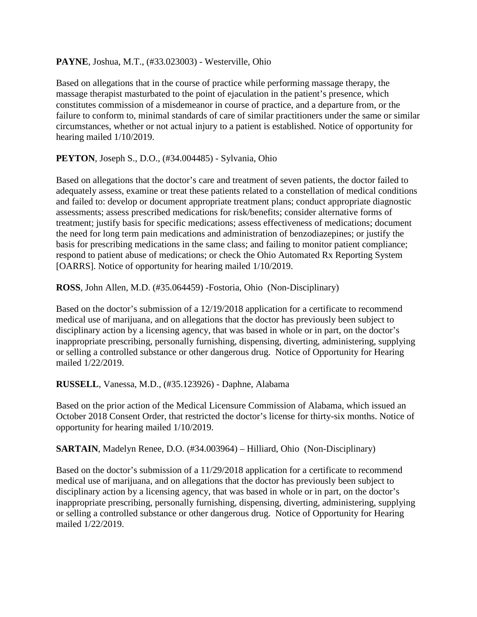#### **PAYNE**, Joshua, M.T., (#33.023003) - Westerville, Ohio

Based on allegations that in the course of practice while performing massage therapy, the massage therapist masturbated to the point of ejaculation in the patient's presence, which constitutes commission of a misdemeanor in course of practice, and a departure from, or the failure to conform to, minimal standards of care of similar practitioners under the same or similar circumstances, whether or not actual injury to a patient is established. Notice of opportunity for hearing mailed 1/10/2019.

## **PEYTON**, Joseph S., D.O., (#34.004485) - Sylvania, Ohio

Based on allegations that the doctor's care and treatment of seven patients, the doctor failed to adequately assess, examine or treat these patients related to a constellation of medical conditions and failed to: develop or document appropriate treatment plans; conduct appropriate diagnostic assessments; assess prescribed medications for risk/benefits; consider alternative forms of treatment; justify basis for specific medications; assess effectiveness of medications; document the need for long term pain medications and administration of benzodiazepines; or justify the basis for prescribing medications in the same class; and failing to monitor patient compliance; respond to patient abuse of medications; or check the Ohio Automated Rx Reporting System [OARRS]. Notice of opportunity for hearing mailed 1/10/2019.

**ROSS**, John Allen, M.D. (#35.064459) -Fostoria, Ohio (Non-Disciplinary)

Based on the doctor's submission of a 12/19/2018 application for a certificate to recommend medical use of marijuana, and on allegations that the doctor has previously been subject to disciplinary action by a licensing agency, that was based in whole or in part, on the doctor's inappropriate prescribing, personally furnishing, dispensing, diverting, administering, supplying or selling a controlled substance or other dangerous drug. Notice of Opportunity for Hearing mailed 1/22/2019.

**RUSSELL**, Vanessa, M.D., (#35.123926) - Daphne, Alabama

Based on the prior action of the Medical Licensure Commission of Alabama, which issued an October 2018 Consent Order, that restricted the doctor's license for thirty-six months. Notice of opportunity for hearing mailed 1/10/2019.

**SARTAIN**, Madelyn Renee, D.O. (#34.003964) – Hilliard, Ohio (Non-Disciplinary)

Based on the doctor's submission of a 11/29/2018 application for a certificate to recommend medical use of marijuana, and on allegations that the doctor has previously been subject to disciplinary action by a licensing agency, that was based in whole or in part, on the doctor's inappropriate prescribing, personally furnishing, dispensing, diverting, administering, supplying or selling a controlled substance or other dangerous drug. Notice of Opportunity for Hearing mailed 1/22/2019.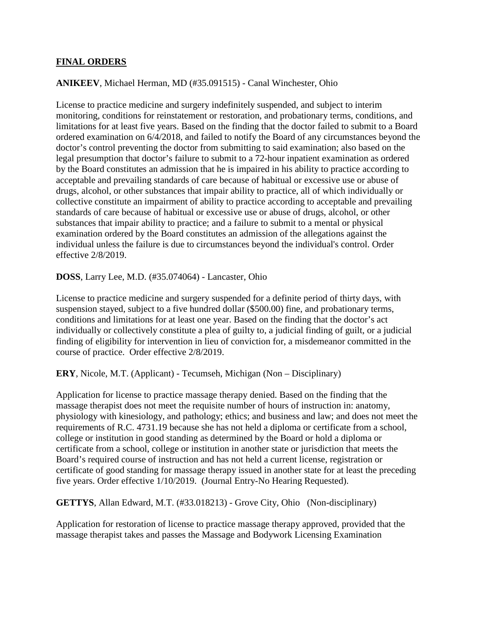#### **FINAL ORDERS**

#### **ANIKEEV**, Michael Herman, MD (#35.091515) - Canal Winchester, Ohio

License to practice medicine and surgery indefinitely suspended, and subject to interim monitoring, conditions for reinstatement or restoration, and probationary terms, conditions, and limitations for at least five years. Based on the finding that the doctor failed to submit to a Board ordered examination on 6/4/2018, and failed to notify the Board of any circumstances beyond the doctor's control preventing the doctor from submitting to said examination; also based on the legal presumption that doctor's failure to submit to a 72-hour inpatient examination as ordered by the Board constitutes an admission that he is impaired in his ability to practice according to acceptable and prevailing standards of care because of habitual or excessive use or abuse of drugs, alcohol, or other substances that impair ability to practice, all of which individually or collective constitute an impairment of ability to practice according to acceptable and prevailing standards of care because of habitual or excessive use or abuse of drugs, alcohol, or other substances that impair ability to practice; and a failure to submit to a mental or physical examination ordered by the Board constitutes an admission of the allegations against the individual unless the failure is due to circumstances beyond the individual's control. Order effective 2/8/2019.

**DOSS**, Larry Lee, M.D. (#35.074064) - Lancaster, Ohio

License to practice medicine and surgery suspended for a definite period of thirty days, with suspension stayed, subject to a five hundred dollar (\$500.00) fine, and probationary terms, conditions and limitations for at least one year. Based on the finding that the doctor's act individually or collectively constitute a plea of guilty to, a judicial finding of guilt, or a judicial finding of eligibility for intervention in lieu of conviction for, a misdemeanor committed in the course of practice. Order effective 2/8/2019.

**ERY**, Nicole, M.T. (Applicant) - Tecumseh, Michigan (Non – Disciplinary)

Application for license to practice massage therapy denied. Based on the finding that the massage therapist does not meet the requisite number of hours of instruction in: anatomy, physiology with kinesiology, and pathology; ethics; and business and law; and does not meet the requirements of R.C. 4731.19 because she has not held a diploma or certificate from a school, college or institution in good standing as determined by the Board or hold a diploma or certificate from a school, college or institution in another state or jurisdiction that meets the Board's required course of instruction and has not held a current license, registration or certificate of good standing for massage therapy issued in another state for at least the preceding five years. Order effective 1/10/2019. (Journal Entry-No Hearing Requested).

**GETTYS**, Allan Edward, M.T. (#33.018213) - Grove City, Ohio (Non-disciplinary)

Application for restoration of license to practice massage therapy approved, provided that the massage therapist takes and passes the Massage and Bodywork Licensing Examination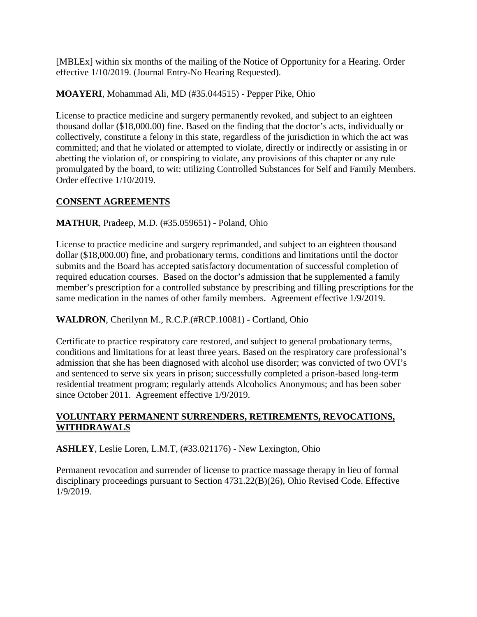[MBLEx] within six months of the mailing of the Notice of Opportunity for a Hearing. Order effective 1/10/2019. (Journal Entry-No Hearing Requested).

# **MOAYERI**, Mohammad Ali, MD (#35.044515) - Pepper Pike, Ohio

License to practice medicine and surgery permanently revoked, and subject to an eighteen thousand dollar (\$18,000.00) fine. Based on the finding that the doctor's acts, individually or collectively, constitute a felony in this state, regardless of the jurisdiction in which the act was committed; and that he violated or attempted to violate, directly or indirectly or assisting in or abetting the violation of, or conspiring to violate, any provisions of this chapter or any rule promulgated by the board, to wit: utilizing Controlled Substances for Self and Family Members. Order effective 1/10/2019.

# **CONSENT AGREEMENTS**

**MATHUR**, Pradeep, M.D. (#35.059651) - Poland, Ohio

License to practice medicine and surgery reprimanded, and subject to an eighteen thousand dollar (\$18,000.00) fine, and probationary terms, conditions and limitations until the doctor submits and the Board has accepted satisfactory documentation of successful completion of required education courses. Based on the doctor's admission that he supplemented a family member's prescription for a controlled substance by prescribing and filling prescriptions for the same medication in the names of other family members. Agreement effective 1/9/2019.

**WALDRON**, Cherilynn M., R.C.P.(#RCP.10081) - Cortland, Ohio

Certificate to practice respiratory care restored, and subject to general probationary terms, conditions and limitations for at least three years. Based on the respiratory care professional's admission that she has been diagnosed with alcohol use disorder; was convicted of two OVI's and sentenced to serve six years in prison; successfully completed a prison-based long-term residential treatment program; regularly attends Alcoholics Anonymous; and has been sober since October 2011. Agreement effective 1/9/2019.

## **VOLUNTARY PERMANENT SURRENDERS, RETIREMENTS, REVOCATIONS, WITHDRAWALS**

**ASHLEY**, Leslie Loren, L.M.T, (#33.021176) - New Lexington, Ohio

Permanent revocation and surrender of license to practice massage therapy in lieu of formal disciplinary proceedings pursuant to Section 4731.22(B)(26), Ohio Revised Code. Effective 1/9/2019.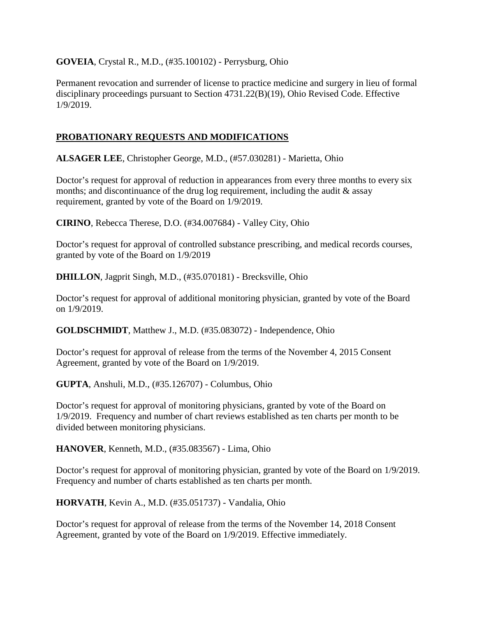**GOVEIA**, Crystal R., M.D., (#35.100102) - Perrysburg, Ohio

Permanent revocation and surrender of license to practice medicine and surgery in lieu of formal disciplinary proceedings pursuant to Section 4731.22(B)(19), Ohio Revised Code. Effective 1/9/2019.

## **PROBATIONARY REQUESTS AND MODIFICATIONS**

**ALSAGER LEE**, Christopher George, M.D., (#57.030281) - Marietta, Ohio

Doctor's request for approval of reduction in appearances from every three months to every six months; and discontinuance of the drug log requirement, including the audit  $\&$  assay requirement, granted by vote of the Board on 1/9/2019.

**CIRINO**, Rebecca Therese, D.O. (#34.007684) - Valley City, Ohio

Doctor's request for approval of controlled substance prescribing, and medical records courses, granted by vote of the Board on 1/9/2019

**DHILLON**, Jagprit Singh, M.D., (#35.070181) - Brecksville, Ohio

Doctor's request for approval of additional monitoring physician, granted by vote of the Board on 1/9/2019.

**GOLDSCHMIDT**, Matthew J., M.D. (#35.083072) - Independence, Ohio

Doctor's request for approval of release from the terms of the November 4, 2015 Consent Agreement, granted by vote of the Board on 1/9/2019.

**GUPTA**, Anshuli, M.D., (#35.126707) - Columbus, Ohio

Doctor's request for approval of monitoring physicians, granted by vote of the Board on 1/9/2019. Frequency and number of chart reviews established as ten charts per month to be divided between monitoring physicians.

**HANOVER**, Kenneth, M.D., (#35.083567) - Lima, Ohio

Doctor's request for approval of monitoring physician, granted by vote of the Board on 1/9/2019. Frequency and number of charts established as ten charts per month.

**HORVATH**, Kevin A., M.D. (#35.051737) - Vandalia, Ohio

Doctor's request for approval of release from the terms of the November 14, 2018 Consent Agreement, granted by vote of the Board on 1/9/2019. Effective immediately.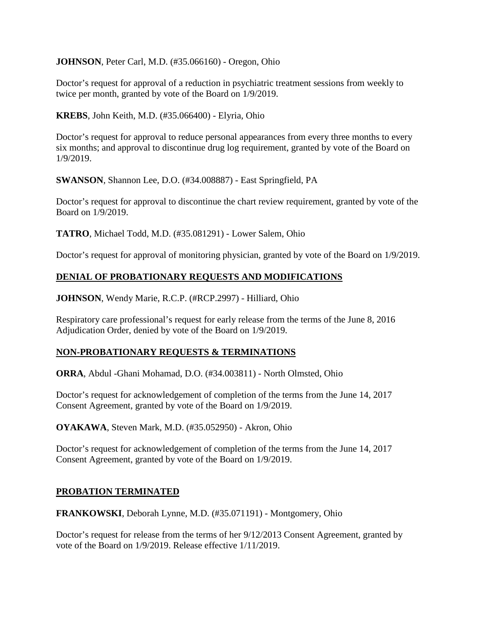**JOHNSON**, Peter Carl, M.D. (#35.066160) - Oregon, Ohio

Doctor's request for approval of a reduction in psychiatric treatment sessions from weekly to twice per month, granted by vote of the Board on 1/9/2019.

**KREBS**, John Keith, M.D. (#35.066400) - Elyria, Ohio

Doctor's request for approval to reduce personal appearances from every three months to every six months; and approval to discontinue drug log requirement, granted by vote of the Board on 1/9/2019.

**SWANSON**, Shannon Lee, D.O. (#34.008887) - East Springfield, PA

Doctor's request for approval to discontinue the chart review requirement, granted by vote of the Board on 1/9/2019.

**TATRO**, Michael Todd, M.D. (#35.081291) - Lower Salem, Ohio

Doctor's request for approval of monitoring physician, granted by vote of the Board on 1/9/2019.

## **DENIAL OF PROBATIONARY REQUESTS AND MODIFICATIONS**

**JOHNSON**, Wendy Marie, R.C.P. (#RCP.2997) - Hilliard, Ohio

Respiratory care professional's request for early release from the terms of the June 8, 2016 Adjudication Order, denied by vote of the Board on 1/9/2019.

#### **NON-PROBATIONARY REQUESTS & TERMINATIONS**

**ORRA**, Abdul -Ghani Mohamad, D.O. (#34.003811) - North Olmsted, Ohio

Doctor's request for acknowledgement of completion of the terms from the June 14, 2017 Consent Agreement, granted by vote of the Board on 1/9/2019.

**OYAKAWA**, Steven Mark, M.D. (#35.052950) - Akron, Ohio

Doctor's request for acknowledgement of completion of the terms from the June 14, 2017 Consent Agreement, granted by vote of the Board on 1/9/2019.

#### **PROBATION TERMINATED**

**FRANKOWSKI**, Deborah Lynne, M.D. (#35.071191) - Montgomery, Ohio

Doctor's request for release from the terms of her 9/12/2013 Consent Agreement, granted by vote of the Board on 1/9/2019. Release effective 1/11/2019.